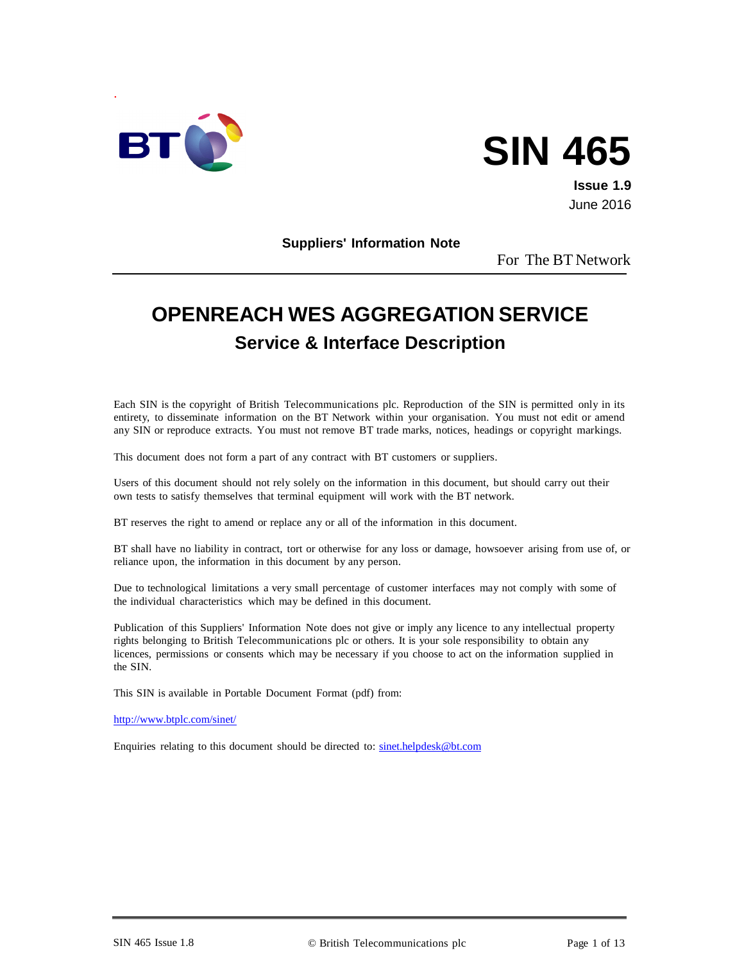

# **SIN 465**

**Issue 1.9** June 2016

**Suppliers' Information Note**

For The BT Network

# **OPENREACH WES AGGREGATION SERVICE Service & Interface Description**

Each SIN is the copyright of British Telecommunications plc. Reproduction of the SIN is permitted only in its entirety, to disseminate information on the BT Network within your organisation. You must not edit or amend any SIN or reproduce extracts. You must not remove BT trade marks, notices, headings or copyright markings.

This document does not form a part of any contract with BT customers or suppliers.

Users of this document should not rely solely on the information in this document, but should carry out their own tests to satisfy themselves that terminal equipment will work with the BT network.

BT reserves the right to amend or replace any or all of the information in this document.

BT shall have no liability in contract, tort or otherwise for any loss or damage, howsoever arising from use of, or reliance upon, the information in this document by any person.

Due to technological limitations a very small percentage of customer interfaces may not comply with some of the individual characteristics which may be defined in this document.

Publication of this Suppliers' Information Note does not give or imply any licence to any intellectual property rights belonging to British Telecommunications plc or others. It is your sole responsibility to obtain any licences, permissions or consents which may be necessary if you choose to act on the information supplied in the SIN.

This SIN is available in Portable Document Format (pdf) from:

<http://www.btplc.com/sinet/>

Enquiries relating to this document should be directed to: [sinet.helpdesk@bt.com](mailto:sinet.helpdesk@bt.com)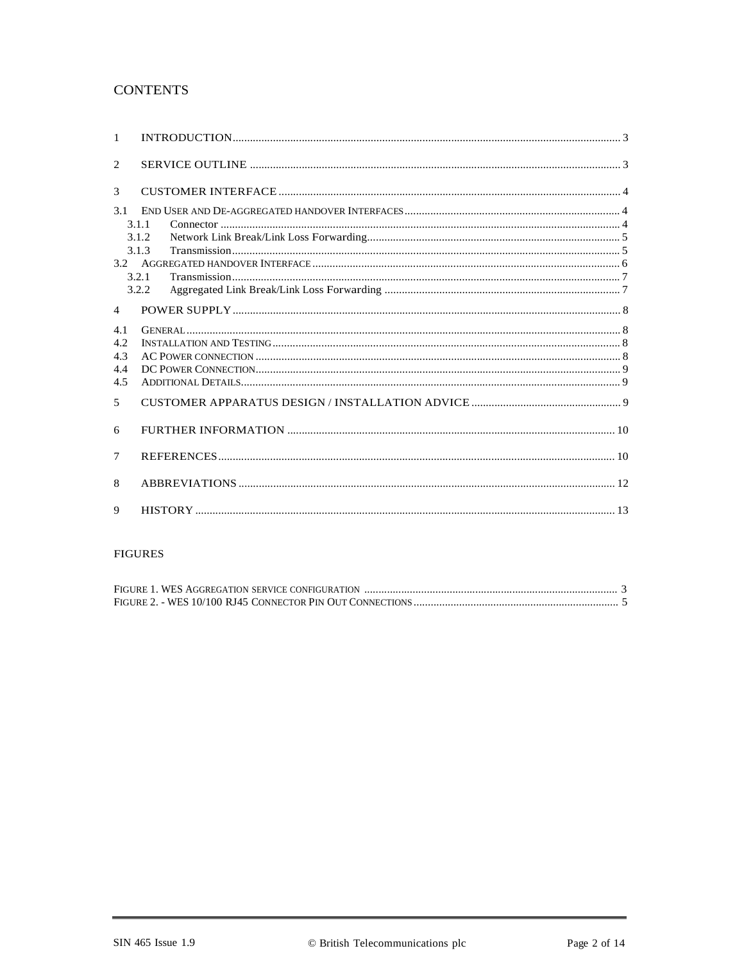#### **CONTENTS**

| $\mathbf{1}$   |                                                                                                                                                                                                                                                                                                                                                                                                                                                                                                                                                                                                     |  |
|----------------|-----------------------------------------------------------------------------------------------------------------------------------------------------------------------------------------------------------------------------------------------------------------------------------------------------------------------------------------------------------------------------------------------------------------------------------------------------------------------------------------------------------------------------------------------------------------------------------------------------|--|
| 2              |                                                                                                                                                                                                                                                                                                                                                                                                                                                                                                                                                                                                     |  |
| 3              |                                                                                                                                                                                                                                                                                                                                                                                                                                                                                                                                                                                                     |  |
| 3.1            |                                                                                                                                                                                                                                                                                                                                                                                                                                                                                                                                                                                                     |  |
|                | 3.1.1                                                                                                                                                                                                                                                                                                                                                                                                                                                                                                                                                                                               |  |
|                | 3.1.2                                                                                                                                                                                                                                                                                                                                                                                                                                                                                                                                                                                               |  |
|                | $\label{eq:transmission} \begin{minipage}{0.9\linewidth} Transmission \end{minipage} \begin{minipage}{0.9\linewidth} \textit{transmission} \end{minipage} \begin{minipage}{0.9\linewidth} \textit{transmission} \end{minipage} \begin{minipage}{0.9\linewidth} \textit{transmission} \end{minipage} \begin{minipage}{0.9\linewidth} \textit{transmission} \end{minipage} \begin{minipage}{0.9\linewidth} \textit{transmission} \end{minipage} \begin{minipage}{0.9\linewidth} \textit{transmission} \end{minipage} \begin{minipage}{0.9\linewidth} \textit{transmission} \end{minipage} \$<br>3.1.3 |  |
|                |                                                                                                                                                                                                                                                                                                                                                                                                                                                                                                                                                                                                     |  |
|                | 3.2.1                                                                                                                                                                                                                                                                                                                                                                                                                                                                                                                                                                                               |  |
|                | 3.2.2                                                                                                                                                                                                                                                                                                                                                                                                                                                                                                                                                                                               |  |
| $\overline{4}$ |                                                                                                                                                                                                                                                                                                                                                                                                                                                                                                                                                                                                     |  |
| 4.1            |                                                                                                                                                                                                                                                                                                                                                                                                                                                                                                                                                                                                     |  |
| 4.2            |                                                                                                                                                                                                                                                                                                                                                                                                                                                                                                                                                                                                     |  |
| 4.3            |                                                                                                                                                                                                                                                                                                                                                                                                                                                                                                                                                                                                     |  |
| 4.4            |                                                                                                                                                                                                                                                                                                                                                                                                                                                                                                                                                                                                     |  |
| 4.5            |                                                                                                                                                                                                                                                                                                                                                                                                                                                                                                                                                                                                     |  |
| 5              |                                                                                                                                                                                                                                                                                                                                                                                                                                                                                                                                                                                                     |  |
| 6              |                                                                                                                                                                                                                                                                                                                                                                                                                                                                                                                                                                                                     |  |
| 7              |                                                                                                                                                                                                                                                                                                                                                                                                                                                                                                                                                                                                     |  |
| 8              |                                                                                                                                                                                                                                                                                                                                                                                                                                                                                                                                                                                                     |  |
| 9              |                                                                                                                                                                                                                                                                                                                                                                                                                                                                                                                                                                                                     |  |

#### ${\hbox{FIGURES}}$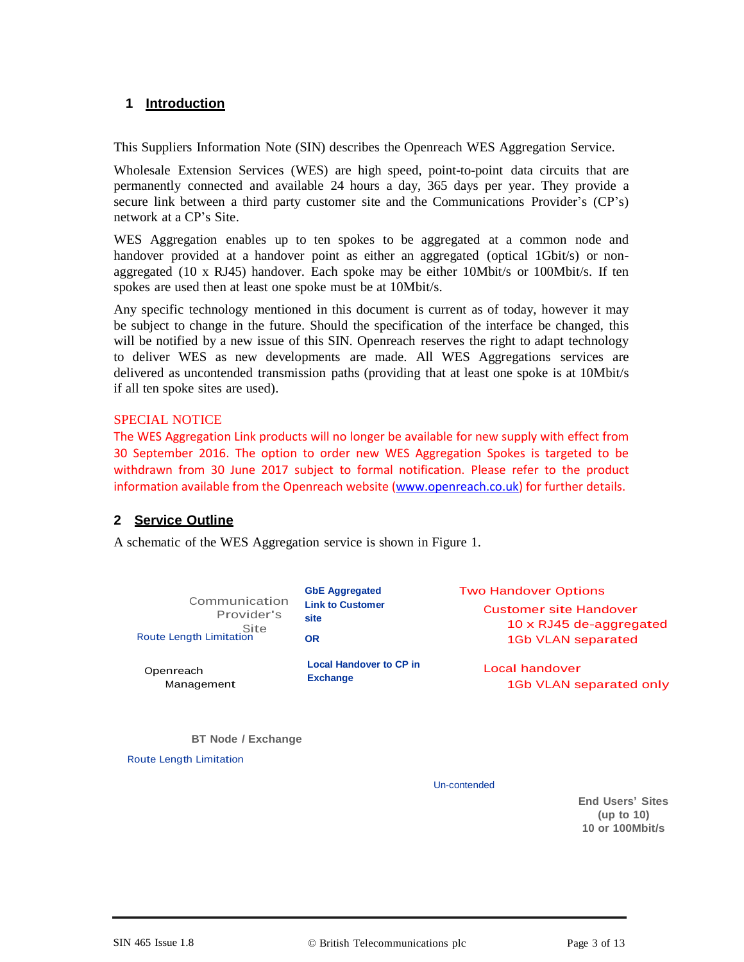#### **1 Introduction**

This Suppliers Information Note (SIN) describes the Openreach WES Aggregation Service.

Wholesale Extension Services (WES) are high speed, point-to-point data circuits that are permanently connected and available 24 hours a day, 365 days per year. They provide a secure link between a third party customer site and the Communications Provider's (CP's) network at a CP's Site.

WES Aggregation enables up to ten spokes to be aggregated at a common node and handover provided at a handover point as either an aggregated (optical 1Gbit/s) or nonaggregated (10 x RJ45) handover. Each spoke may be either 10Mbit/s or 100Mbit/s. If ten spokes are used then at least one spoke must be at 10Mbit/s.

Any specific technology mentioned in this document is current as of today, however it may be subject to change in the future. Should the specification of the interface be changed, this will be notified by a new issue of this SIN. Openreach reserves the right to adapt technology to deliver WES as new developments are made. All WES Aggregations services are delivered as uncontended transmission paths (providing that at least one spoke is at 10Mbit/s if all ten spoke sites are used).

#### SPECIAL NOTICE

The WES Aggregation Link products will no longer be available for new supply with effect from 30 September 2016. The option to order new WES Aggregation Spokes is targeted to be withdrawn from 30 June 2017 subject to formal notification. Please refer to the product information available from the Openreach website [\(www.openreach.co.uk\)](http://www.openreach.co.uk/) for further details.

#### **2 Service Outline**

A schematic of the WES Aggregation service is shown in Figure 1.

| Communication<br>Provider's<br>Site<br>Route Length Limitation | <b>GbE Aggregated</b><br><b>Link to Customer</b><br>site<br>OR | <b>Two Handover Options</b><br>Customer site Handover<br>10 x RJ45 de-aggregated<br>1Gb VLAN separated |
|----------------------------------------------------------------|----------------------------------------------------------------|--------------------------------------------------------------------------------------------------------|
| Openreach                                                      | <b>Local Handover to CP in</b>                                 | Local handover                                                                                         |
| Management                                                     | <b>Exchange</b>                                                | 1Gb VLAN separated only                                                                                |

**BT Node / Exchange**

Route Length Limitation

Un-contended

**End Users' Sites (up to 10) 10 or 100Mbit/s**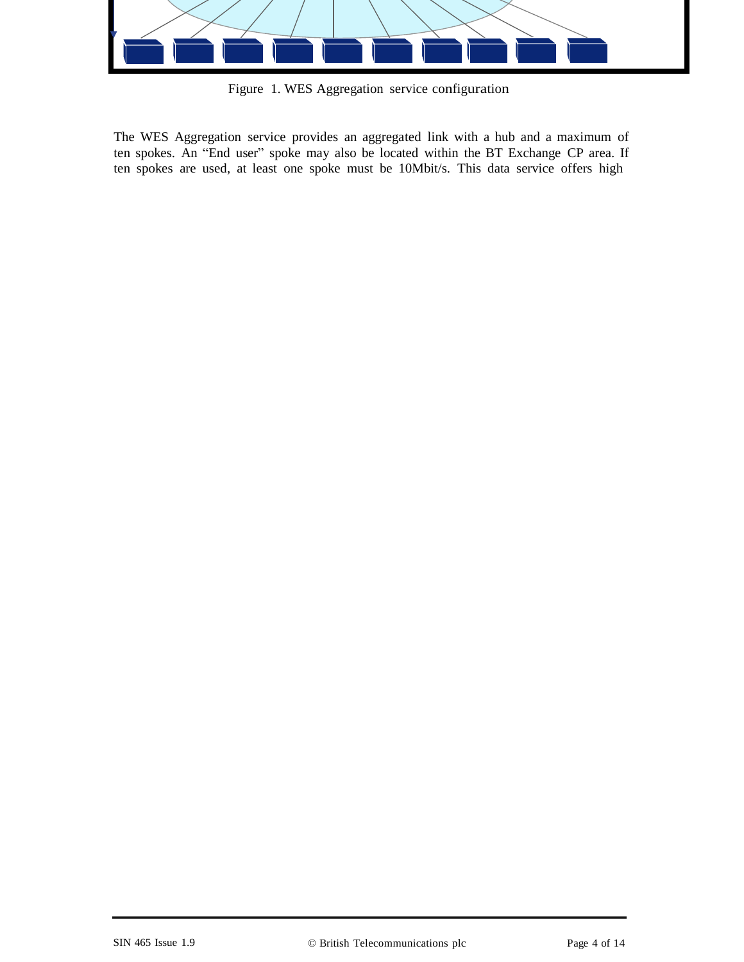

Figure 1. WES Aggregation service configuration

The WES Aggregation service provides an aggregated link with a hub and a maximum of ten spokes. An "End user" spoke may also be located within the BT Exchange CP area. If ten spokes are used, at least one spoke must be 10Mbit/s. This data service offers high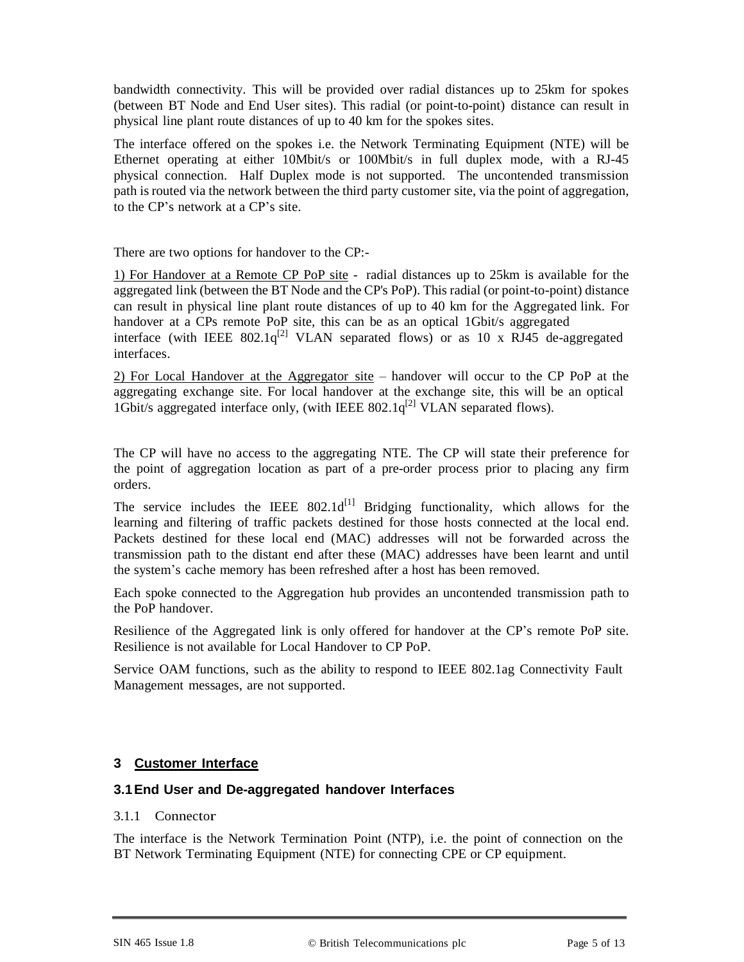bandwidth connectivity. This will be provided over radial distances up to 25km for spokes (between BT Node and End User sites). This radial (or point-to-point) distance can result in physical line plant route distances of up to 40 km for the spokes sites.

The interface offered on the spokes i.e. the Network Terminating Equipment (NTE) will be Ethernet operating at either 10Mbit/s or 100Mbit/s in full duplex mode, with a RJ-45 physical connection. Half Duplex mode is not supported. The uncontended transmission path is routed via the network between the third party customer site, via the point of aggregation, to the CP's network at a CP's site.

There are two options for handover to the CP:-

1) For Handover at a Remote CP PoP site - radial distances up to 25km is available for the aggregated link (between the BT Node and the CP's PoP). This radial (or point-to-point) distance can result in physical line plant route distances of up to 40 km for the Aggregated link. For handover at a CPs remote PoP site, this can be as an optical 1Gbit/s aggregated interface (with IEEE 802.1 $q^{[2]}$  VLAN separated flows) or as 10 x RJ45 de-aggregated interfaces.

2) For Local Handover at the Aggregator site – handover will occur to the CP PoP at the aggregating exchange site. For local handover at the exchange site, this will be an optical 1Gbit/s aggregated interface only, (with IEEE 802.1 $q^{[2]}$  VLAN separated flows).

The CP will have no access to the aggregating NTE. The CP will state their preference for the point of aggregation location as part of a pre-order process prior to placing any firm orders.

The service includes the IEEE  $802.1d^{[1]}$  Bridging functionality, which allows for the learning and filtering of traffic packets destined for those hosts connected at the local end. Packets destined for these local end (MAC) addresses will not be forwarded across the transmission path to the distant end after these (MAC) addresses have been learnt and until the system's cache memory has been refreshed after a host has been removed.

Each spoke connected to the Aggregation hub provides an uncontended transmission path to the PoP handover.

Resilience of the Aggregated link is only offered for handover at the CP's remote PoP site. Resilience is not available for Local Handover to CP PoP.

Service OAM functions, such as the ability to respond to IEEE 802.1ag Connectivity Fault Management messages, are not supported.

#### **3 Customer Interface**

#### **3.1End User and De-aggregated handover Interfaces**

#### 3.1.1 Connector

The interface is the Network Termination Point (NTP), i.e. the point of connection on the BT Network Terminating Equipment (NTE) for connecting CPE or CP equipment.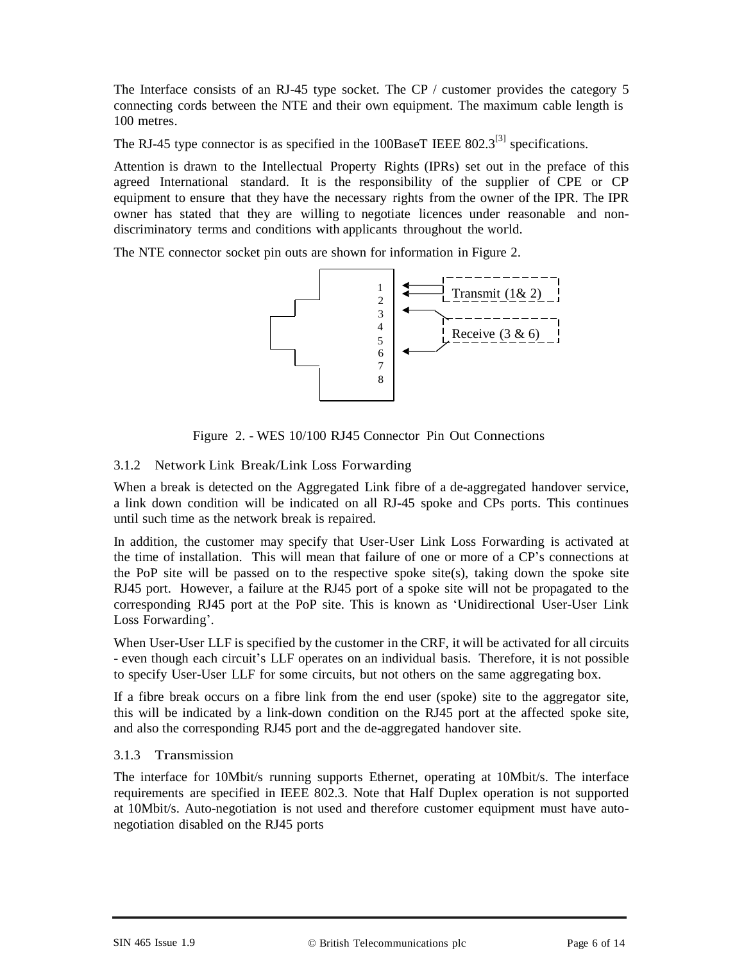The Interface consists of an RJ-45 type socket. The CP / customer provides the category 5 connecting cords between the NTE and their own equipment. The maximum cable length is 100 metres.

The RJ-45 type connector is as specified in the  $100$ BaseT IEEE  $802.3^{[3]}$  specifications.

Attention is drawn to the Intellectual Property Rights (IPRs) set out in the preface of this agreed International standard. It is the responsibility of the supplier of CPE or CP equipment to ensure that they have the necessary rights from the owner of the IPR. The IPR owner has stated that they are willing to negotiate licences under reasonable and nondiscriminatory terms and conditions with applicants throughout the world.

The NTE connector socket pin outs are shown for information in Figure 2.



Figure 2. - WES 10/100 RJ45 Connector Pin Out Connections

#### 3.1.2 Network Link Break/Link Loss Forwarding

When a break is detected on the Aggregated Link fibre of a de-aggregated handover service, a link down condition will be indicated on all RJ-45 spoke and CPs ports. This continues until such time as the network break is repaired.

In addition, the customer may specify that User-User Link Loss Forwarding is activated at the time of installation. This will mean that failure of one or more of a CP's connections at the PoP site will be passed on to the respective spoke site(s), taking down the spoke site RJ45 port. However, a failure at the RJ45 port of a spoke site will not be propagated to the corresponding RJ45 port at the PoP site. This is known as 'Unidirectional User-User Link Loss Forwarding'.

When User-User LLF is specified by the customer in the CRF, it will be activated for all circuits - even though each circuit's LLF operates on an individual basis. Therefore, it is not possible to specify User-User LLF for some circuits, but not others on the same aggregating box.

If a fibre break occurs on a fibre link from the end user (spoke) site to the aggregator site, this will be indicated by a link-down condition on the RJ45 port at the affected spoke site, and also the corresponding RJ45 port and the de-aggregated handover site.

#### 3.1.3 Transmission

The interface for 10Mbit/s running supports Ethernet, operating at 10Mbit/s. The interface requirements are specified in IEEE 802.3. Note that Half Duplex operation is not supported at 10Mbit/s. Auto-negotiation is not used and therefore customer equipment must have autonegotiation disabled on the RJ45 ports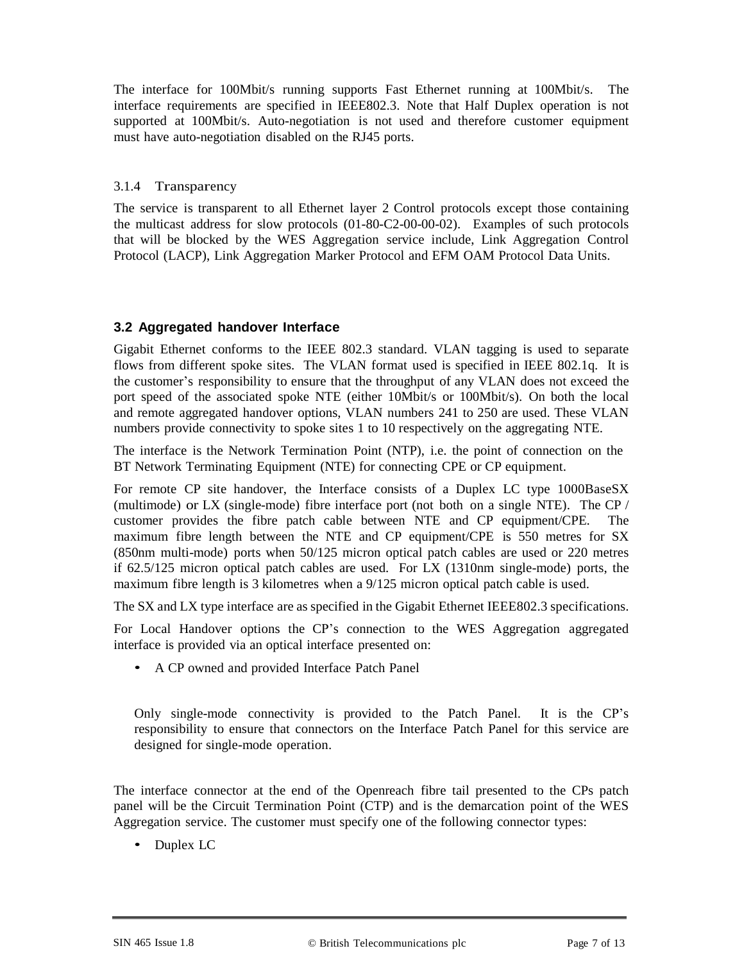The interface for 100Mbit/s running supports Fast Ethernet running at 100Mbit/s. The interface requirements are specified in IEEE802.3. Note that Half Duplex operation is not supported at 100Mbit/s. Auto-negotiation is not used and therefore customer equipment must have auto-negotiation disabled on the RJ45 ports.

#### 3.1.4 Transparency

The service is transparent to all Ethernet layer 2 Control protocols except those containing the multicast address for slow protocols (01-80-C2-00-00-02). Examples of such protocols that will be blocked by the WES Aggregation service include, Link Aggregation Control Protocol (LACP), Link Aggregation Marker Protocol and EFM OAM Protocol Data Units.

#### **3.2 Aggregated handover Interface**

Gigabit Ethernet conforms to the IEEE 802.3 standard. VLAN tagging is used to separate flows from different spoke sites. The VLAN format used is specified in IEEE 802.1q. It is the customer's responsibility to ensure that the throughput of any VLAN does not exceed the port speed of the associated spoke NTE (either 10Mbit/s or 100Mbit/s). On both the local and remote aggregated handover options, VLAN numbers 241 to 250 are used. These VLAN numbers provide connectivity to spoke sites 1 to 10 respectively on the aggregating NTE.

The interface is the Network Termination Point (NTP), i.e. the point of connection on the BT Network Terminating Equipment (NTE) for connecting CPE or CP equipment.

For remote CP site handover, the Interface consists of a Duplex LC type 1000BaseSX (multimode) or LX (single-mode) fibre interface port (not both on a single NTE). The CP / customer provides the fibre patch cable between NTE and CP equipment/CPE. The maximum fibre length between the NTE and CP equipment/CPE is 550 metres for SX (850nm multi-mode) ports when 50/125 micron optical patch cables are used or 220 metres if 62.5/125 micron optical patch cables are used. For LX (1310nm single-mode) ports, the maximum fibre length is 3 kilometres when a 9/125 micron optical patch cable is used.

The SX and LX type interface are as specified in the Gigabit Ethernet IEEE802.3 specifications.

For Local Handover options the CP's connection to the WES Aggregation aggregated interface is provided via an optical interface presented on:

• A CP owned and provided Interface Patch Panel

Only single-mode connectivity is provided to the Patch Panel. It is the CP's responsibility to ensure that connectors on the Interface Patch Panel for this service are designed for single-mode operation.

The interface connector at the end of the Openreach fibre tail presented to the CPs patch panel will be the Circuit Termination Point (CTP) and is the demarcation point of the WES Aggregation service. The customer must specify one of the following connector types:

• Duplex LC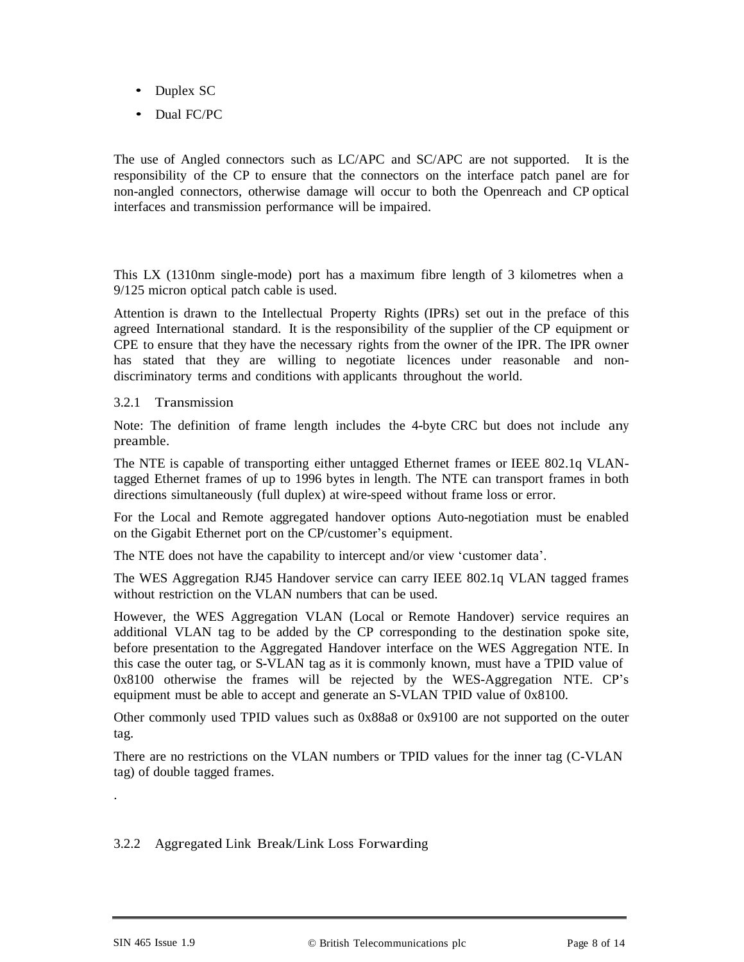- Duplex SC
- Dual FC/PC

The use of Angled connectors such as LC/APC and SC/APC are not supported. It is the responsibility of the CP to ensure that the connectors on the interface patch panel are for non-angled connectors, otherwise damage will occur to both the Openreach and CP optical interfaces and transmission performance will be impaired.

This LX (1310nm single-mode) port has a maximum fibre length of 3 kilometres when a 9/125 micron optical patch cable is used.

Attention is drawn to the Intellectual Property Rights (IPRs) set out in the preface of this agreed International standard. It is the responsibility of the supplier of the CP equipment or CPE to ensure that they have the necessary rights from the owner of the IPR. The IPR owner has stated that they are willing to negotiate licences under reasonable and nondiscriminatory terms and conditions with applicants throughout the world.

#### 3.2.1 Transmission

Note: The definition of frame length includes the 4-byte CRC but does not include any preamble.

The NTE is capable of transporting either untagged Ethernet frames or IEEE 802.1q VLANtagged Ethernet frames of up to 1996 bytes in length. The NTE can transport frames in both directions simultaneously (full duplex) at wire-speed without frame loss or error.

For the Local and Remote aggregated handover options Auto-negotiation must be enabled on the Gigabit Ethernet port on the CP/customer's equipment.

The NTE does not have the capability to intercept and/or view 'customer data'.

The WES Aggregation RJ45 Handover service can carry IEEE 802.1q VLAN tagged frames without restriction on the VLAN numbers that can be used.

However, the WES Aggregation VLAN (Local or Remote Handover) service requires an additional VLAN tag to be added by the CP corresponding to the destination spoke site, before presentation to the Aggregated Handover interface on the WES Aggregation NTE. In this case the outer tag, or S-VLAN tag as it is commonly known, must have a TPID value of 0x8100 otherwise the frames will be rejected by the WES-Aggregation NTE. CP's equipment must be able to accept and generate an S-VLAN TPID value of 0x8100.

Other commonly used TPID values such as 0x88a8 or 0x9100 are not supported on the outer tag.

There are no restrictions on the VLAN numbers or TPID values for the inner tag (C-VLAN tag) of double tagged frames.

#### 3.2.2 Aggregated Link Break/Link Loss Forwarding

.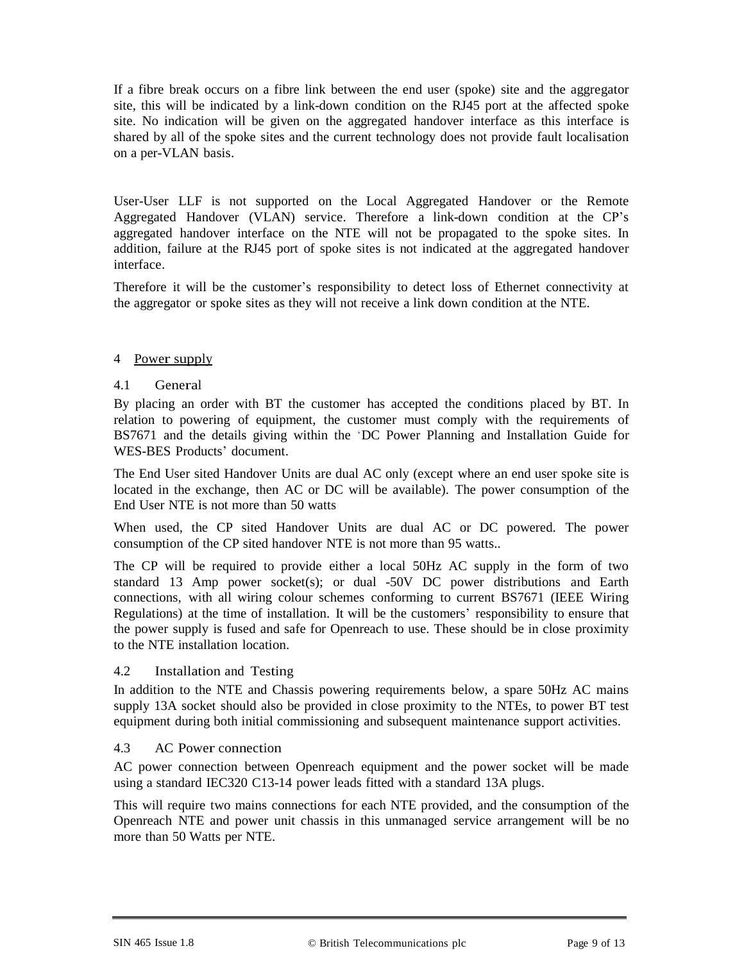If a fibre break occurs on a fibre link between the end user (spoke) site and the aggregator site, this will be indicated by a link-down condition on the RJ45 port at the affected spoke site. No indication will be given on the aggregated handover interface as this interface is shared by all of the spoke sites and the current technology does not provide fault localisation on a per-VLAN basis.

User-User LLF is not supported on the Local Aggregated Handover or the Remote Aggregated Handover (VLAN) service. Therefore a link-down condition at the CP's aggregated handover interface on the NTE will not be propagated to the spoke sites. In addition, failure at the RJ45 port of spoke sites is not indicated at the aggregated handover interface.

Therefore it will be the customer's responsibility to detect loss of Ethernet connectivity at the aggregator or spoke sites as they will not receive a link down condition at the NTE.

#### 4 Power supply

#### 4.1 General

By placing an order with BT the customer has accepted the conditions placed by BT. In relation to powering of equipment, the customer must comply with the requirements of BS7671 and the details giving within the 'DC Power Planning and Installation Guide for WES-BES Products' document.

The End User sited Handover Units are dual AC only (except where an end user spoke site is located in the exchange, then AC or DC will be available). The power consumption of the End User NTE is not more than 50 watts

When used, the CP sited Handover Units are dual AC or DC powered. The power consumption of the CP sited handover NTE is not more than 95 watts..

The CP will be required to provide either a local 50Hz AC supply in the form of two standard 13 Amp power socket(s); or dual -50V DC power distributions and Earth connections, with all wiring colour schemes conforming to current BS7671 (IEEE Wiring Regulations) at the time of installation. It will be the customers' responsibility to ensure that the power supply is fused and safe for Openreach to use. These should be in close proximity to the NTE installation location.

#### 4.2 Installation and Testing

In addition to the NTE and Chassis powering requirements below, a spare 50Hz AC mains supply 13A socket should also be provided in close proximity to the NTEs, to power BT test equipment during both initial commissioning and subsequent maintenance support activities.

#### 4.3 AC Power connection

AC power connection between Openreach equipment and the power socket will be made using a standard IEC320 C13-14 power leads fitted with a standard 13A plugs.

This will require two mains connections for each NTE provided, and the consumption of the Openreach NTE and power unit chassis in this unmanaged service arrangement will be no more than 50 Watts per NTE.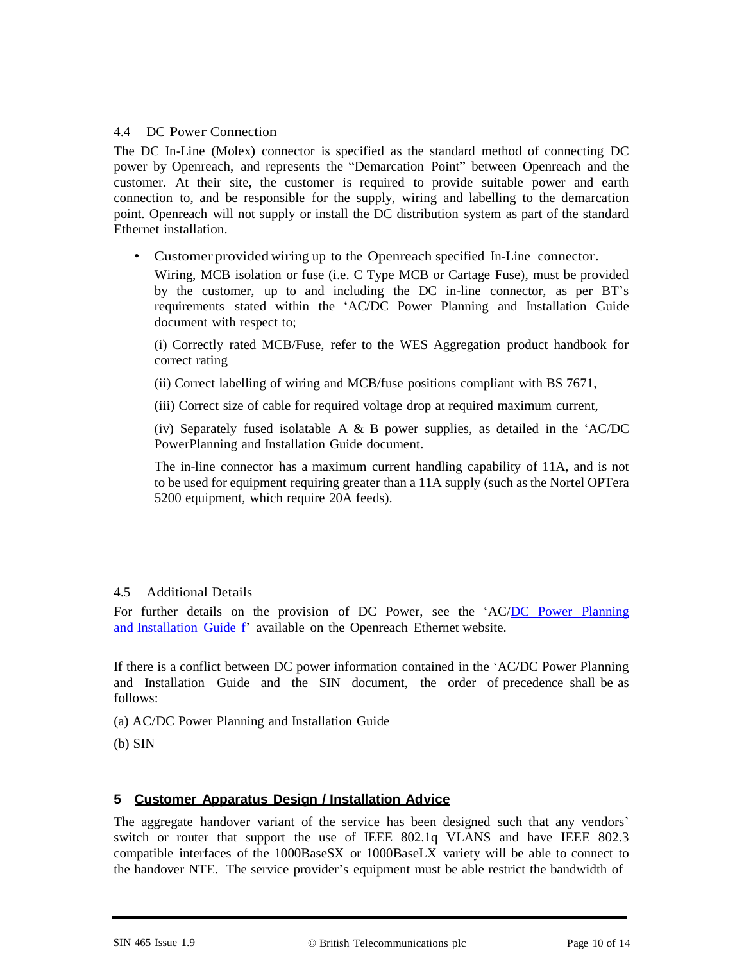#### 4.4 DC Power Connection

The DC In-Line (Molex) connector is specified as the standard method of connecting DC power by Openreach, and represents the "Demarcation Point" between Openreach and the customer. At their site, the customer is required to provide suitable power and earth connection to, and be responsible for the supply, wiring and labelling to the demarcation point. Openreach will not supply or install the DC distribution system as part of the standard Ethernet installation.

• Customer provided wiring up to the Openreach specified In-Line connector.

Wiring, MCB isolation or fuse (i.e. C Type MCB or Cartage Fuse), must be provided by the customer, up to and including the DC in-line connector, as per BT's requirements stated within the 'AC/DC Power Planning and Installation Guide document with respect to;

(i) Correctly rated MCB/Fuse, refer to the WES Aggregation product handbook for correct rating

(ii) Correct labelling of wiring and MCB/fuse positions compliant with BS 7671,

(iii) Correct size of cable for required voltage drop at required maximum current,

(iv) Separately fused isolatable A  $\&$  B power supplies, as detailed in the 'AC/DC PowerPlanning and Installation Guide document.

The in-line connector has a maximum current handling capability of 11A, and is not to be used for equipment requiring greater than a 11A supply (such as the Nortel OPTera 5200 equipment, which require 20A feeds).

#### 4.5 Additional Details

For further details on the provision of DC Power, see the 'AC[/DC Power Planning](http://www.openreach.co.uk/orpg/customerzone/products/ethernetservices/ethernetaccessdirect/description/supplementaryinformation/supplementaryinfo.do)  [and Installation](http://www.openreach.co.uk/orpg/customerzone/products/ethernetservices/ethernetaccessdirect/description/supplementaryinformation/supplementaryinfo.do) Guide f' available on the Openreach Ethernet website.

If there is a conflict between DC power information contained in the 'AC/DC Power Planning and Installation Guide and the SIN document, the order of precedence shall be as follows:

(a) AC/DC Power Planning and Installation Guide

(b) SIN

#### **5 Customer Apparatus Design / Installation Advice**

The aggregate handover variant of the service has been designed such that any vendors' switch or router that support the use of IEEE 802.1q VLANS and have IEEE 802.3 compatible interfaces of the 1000BaseSX or 1000BaseLX variety will be able to connect to the handover NTE. The service provider's equipment must be able restrict the bandwidth of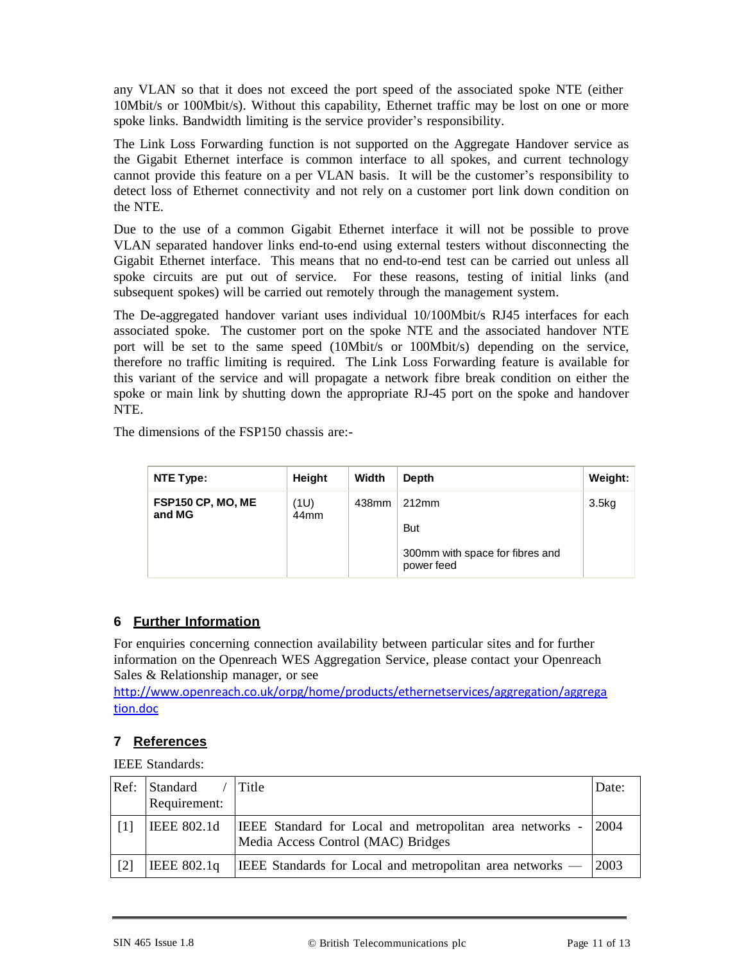any VLAN so that it does not exceed the port speed of the associated spoke NTE (either 10Mbit/s or 100Mbit/s). Without this capability, Ethernet traffic may be lost on one or more spoke links. Bandwidth limiting is the service provider's responsibility.

The Link Loss Forwarding function is not supported on the Aggregate Handover service as the Gigabit Ethernet interface is common interface to all spokes, and current technology cannot provide this feature on a per VLAN basis. It will be the customer's responsibility to detect loss of Ethernet connectivity and not rely on a customer port link down condition on the NTE.

Due to the use of a common Gigabit Ethernet interface it will not be possible to prove VLAN separated handover links end-to-end using external testers without disconnecting the Gigabit Ethernet interface. This means that no end-to-end test can be carried out unless all spoke circuits are put out of service. For these reasons, testing of initial links (and subsequent spokes) will be carried out remotely through the management system.

The De-aggregated handover variant uses individual 10/100Mbit/s RJ45 interfaces for each associated spoke. The customer port on the spoke NTE and the associated handover NTE port will be set to the same speed (10Mbit/s or 100Mbit/s) depending on the service, therefore no traffic limiting is required. The Link Loss Forwarding feature is available for this variant of the service and will propagate a network fibre break condition on either the spoke or main link by shutting down the appropriate RJ-45 port on the spoke and handover NTE.

The dimensions of the FSP150 chassis are:-

| NTE Type:                   | Height                   | Width | Depth                                         | Weight: |
|-----------------------------|--------------------------|-------|-----------------------------------------------|---------|
| FSP150 CP, MO, ME<br>and MG | (1U)<br>44 <sub>mm</sub> | 438mm | 212mm                                         | 3.5kg   |
|                             |                          |       | <b>But</b>                                    |         |
|                             |                          |       | 300mm with space for fibres and<br>power feed |         |

## **6 Further Information**

For enquiries concerning connection availability between particular sites and for further information on the Openreach WES Aggregation Service, please contact your Openreach Sales & Relationship manager, or see

[http://www.openreach.co.uk/orpg/home/products/ethernetservices/aggregation/aggrega](http://www.openreach.co.uk/orpg/home/products/ethernetservices/aggregation/aggregation.doc) [tion.doc](http://www.openreach.co.uk/orpg/home/products/ethernetservices/aggregation/aggregation.doc)

## **7 References**

IEEE Standards:

| Ref:              | Standard<br>Requirement: | <b>Title</b>                                                                                          | Date: |
|-------------------|--------------------------|-------------------------------------------------------------------------------------------------------|-------|
|                   | <b>IEEE 802.1d</b>       | <b>IEEE</b> Standard for Local and metropolitan area networks -<br>Media Access Control (MAC) Bridges | 2004  |
| $\lceil 2 \rceil$ | IEEE 802.1a              | <b>IEEE</b> Standards for Local and metropolitan area networks $-$ 2003                               |       |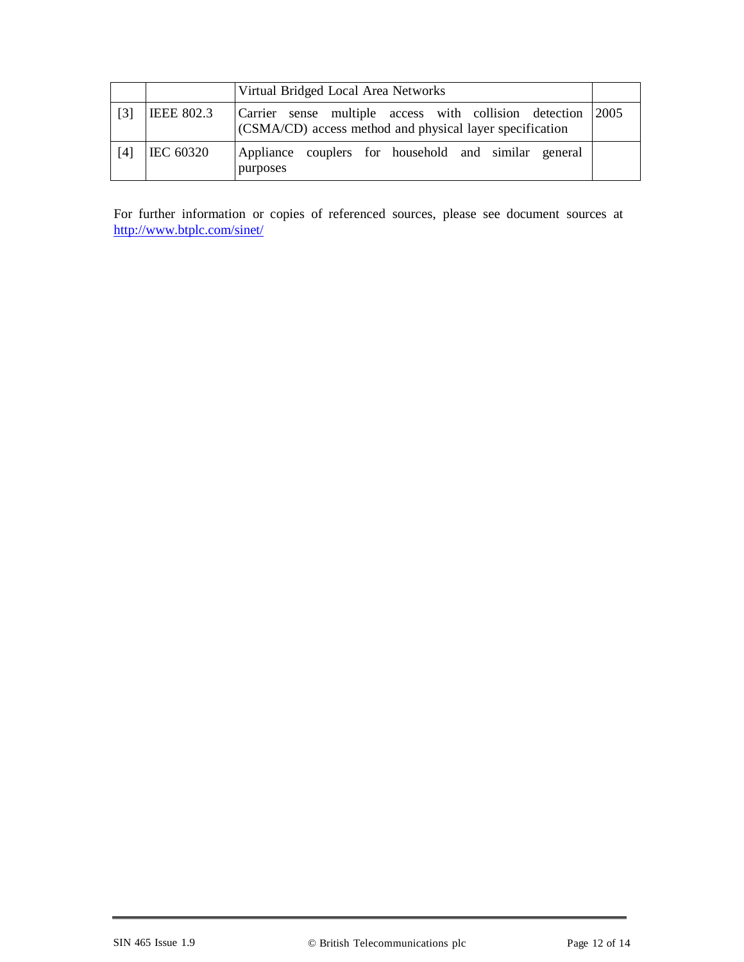|                   |                   | Virtual Bridged Local Area Networks                                                                                |      |
|-------------------|-------------------|--------------------------------------------------------------------------------------------------------------------|------|
| $\lceil 3 \rceil$ | <b>IEEE 802.3</b> | Carrier sense multiple access with collision detection<br>(CSMA/CD) access method and physical layer specification | 2005 |
| [4]               | <b>IEC 60320</b>  | Appliance couplers for household and similar general<br>purposes                                                   |      |

For further information or copies of referenced sources, please see document sources at <http://www.btplc.com/sinet/>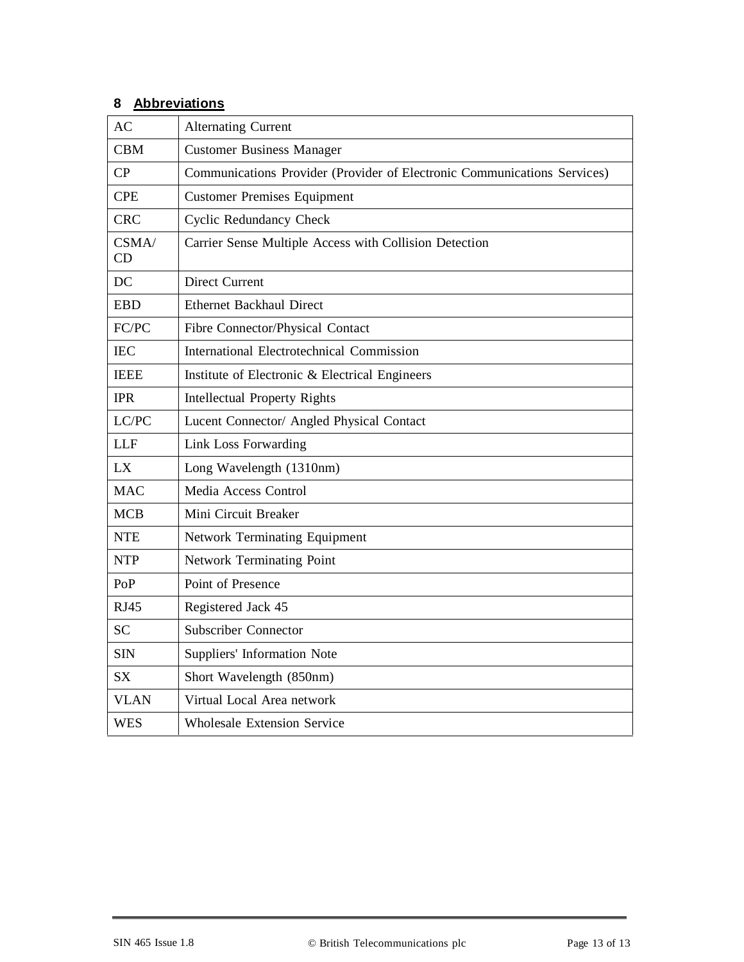# **8 Abbreviations**

| <b>AC</b>   | <b>Alternating Current</b>                                               |  |  |
|-------------|--------------------------------------------------------------------------|--|--|
| <b>CBM</b>  | <b>Customer Business Manager</b>                                         |  |  |
| CP          | Communications Provider (Provider of Electronic Communications Services) |  |  |
| <b>CPE</b>  | <b>Customer Premises Equipment</b>                                       |  |  |
| <b>CRC</b>  | <b>Cyclic Redundancy Check</b>                                           |  |  |
| CSMA/<br>CD | Carrier Sense Multiple Access with Collision Detection                   |  |  |
| DC          | <b>Direct Current</b>                                                    |  |  |
| <b>EBD</b>  | <b>Ethernet Backhaul Direct</b>                                          |  |  |
| FC/PC       | Fibre Connector/Physical Contact                                         |  |  |
| <b>IEC</b>  | International Electrotechnical Commission                                |  |  |
| <b>IEEE</b> | Institute of Electronic & Electrical Engineers                           |  |  |
| <b>IPR</b>  | <b>Intellectual Property Rights</b>                                      |  |  |
| LC/PC       | Lucent Connector/ Angled Physical Contact                                |  |  |
| <b>LLF</b>  | Link Loss Forwarding                                                     |  |  |
| LX          | Long Wavelength (1310nm)                                                 |  |  |
| <b>MAC</b>  | Media Access Control                                                     |  |  |
| <b>MCB</b>  | Mini Circuit Breaker                                                     |  |  |
| <b>NTE</b>  | <b>Network Terminating Equipment</b>                                     |  |  |
| <b>NTP</b>  | <b>Network Terminating Point</b>                                         |  |  |
| PoP         | Point of Presence                                                        |  |  |
| <b>RJ45</b> | Registered Jack 45                                                       |  |  |
| <b>SC</b>   | <b>Subscriber Connector</b>                                              |  |  |
| <b>SIN</b>  | Suppliers' Information Note                                              |  |  |
| <b>SX</b>   | Short Wavelength (850nm)                                                 |  |  |
| <b>VLAN</b> | Virtual Local Area network                                               |  |  |
| <b>WES</b>  | <b>Wholesale Extension Service</b>                                       |  |  |